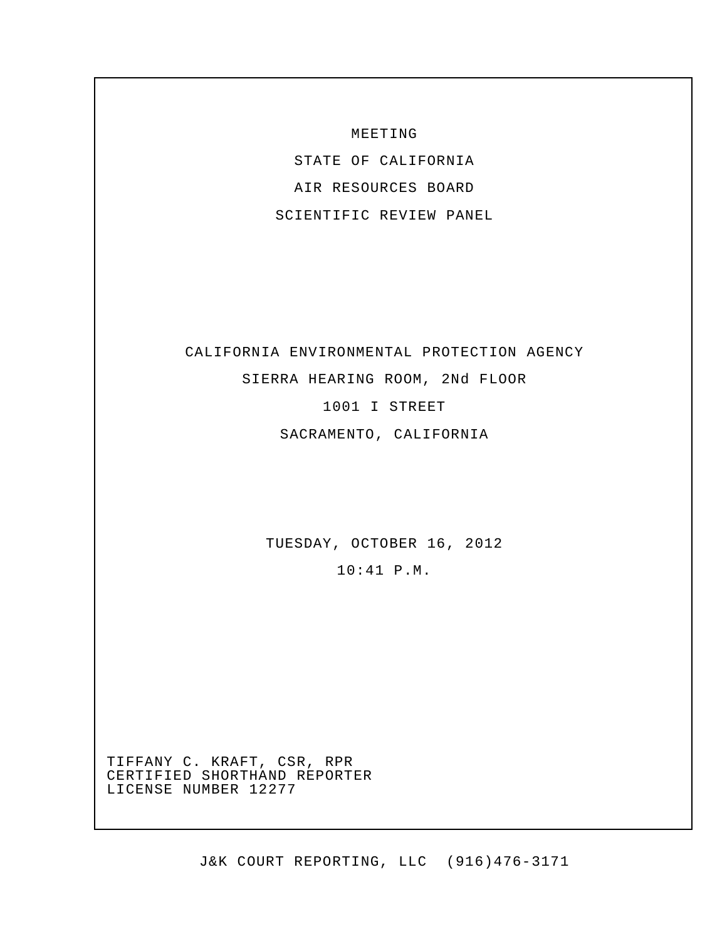MEETING

STATE OF CALIFORNIA AIR RESOURCES BOARD SCIENTIFIC REVIEW PANEL

# CALIFORNIA ENVIRONMENTAL PROTECTION AGENCY

SIERRA HEARING ROOM, 2Nd FLOOR

1001 I STREET

SACRAMENTO, CALIFORNIA

TUESDAY, OCTOBER 16, 2012

10:41 P.M.

TIFFANY C. KRAFT, CSR, RPR CERTIFIED SHORTHAND REPORTER LICENSE NUMBER 12277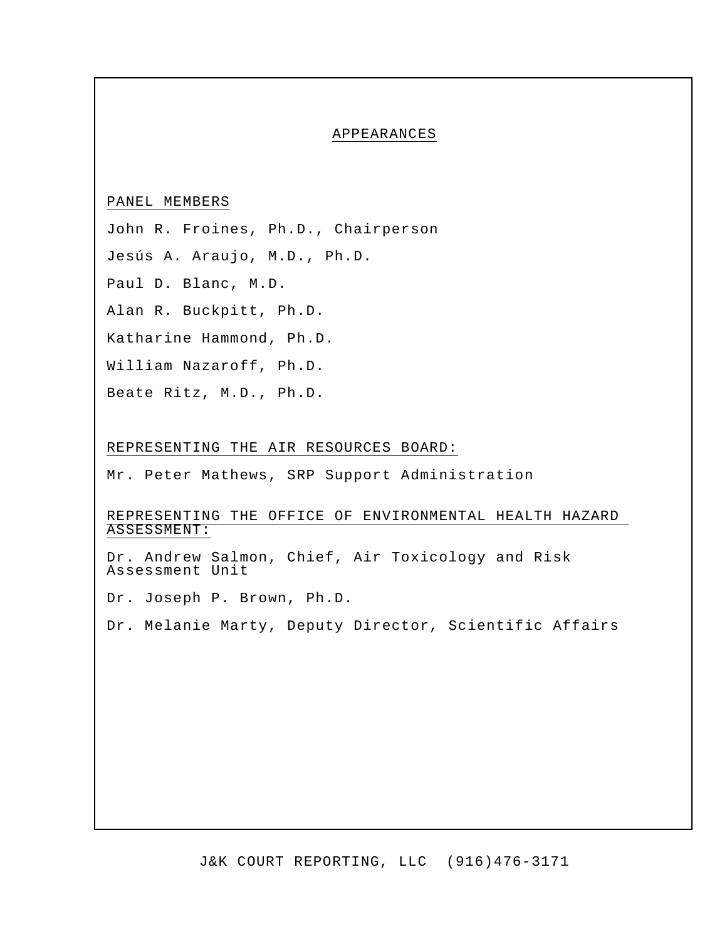#### APPEARANCES

## PANEL MEMBERS

John R. Froines, Ph.D., Chairperson

Jesús A. Araujo, M.D., Ph.D.

Paul D. Blanc, M.D.

Alan R. Buckpitt, Ph.D.

Katharine Hammond, Ph.D.

William Nazaroff, Ph.D.

Beate Ritz, M.D., Ph.D.

#### REPRESENTING THE AIR RESOURCES BOARD:

Mr. Peter Mathews, SRP Support Administration

## REPRESENTING THE OFFICE OF ENVIRONMENTAL HEALTH HAZARD ASSESSMENT:

Dr. Andrew Salmon, Chief, Air Toxicology and Risk Assessment Unit

Dr. Joseph P. Brown, Ph.D.

Dr. Melanie Marty, Deputy Director, Scientific Affairs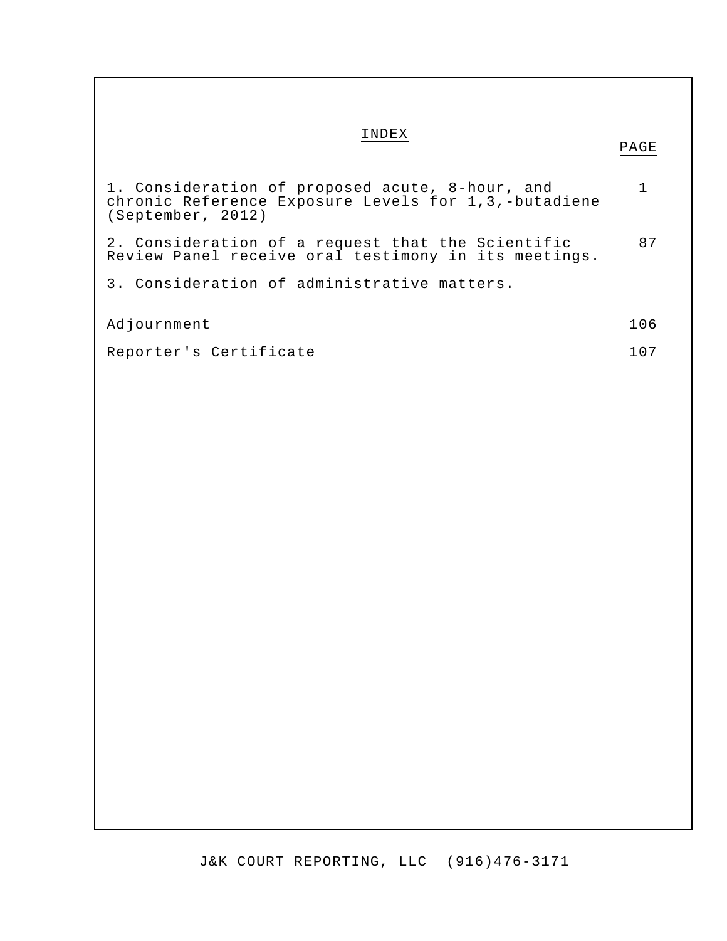# INDEX

| 1. Consideration of proposed acute, 8-hour, and<br>chronic Reference Exposure Levels for 1,3,-butadiene<br>(September, 2012) | $\mathbf 1$ |
|------------------------------------------------------------------------------------------------------------------------------|-------------|
| 2. Consideration of a request that the Scientific<br>Review Panel receive oral testimony in its meetings.                    | 87          |
| 3. Consideration of administrative matters.                                                                                  |             |
| Adjournment                                                                                                                  | 106         |
| Reporter's Certificate                                                                                                       | 107         |
|                                                                                                                              |             |
|                                                                                                                              |             |
|                                                                                                                              |             |
|                                                                                                                              |             |
|                                                                                                                              |             |
|                                                                                                                              |             |
|                                                                                                                              |             |
|                                                                                                                              |             |
|                                                                                                                              |             |
|                                                                                                                              |             |
|                                                                                                                              |             |
|                                                                                                                              |             |
|                                                                                                                              |             |
|                                                                                                                              |             |
|                                                                                                                              |             |
|                                                                                                                              |             |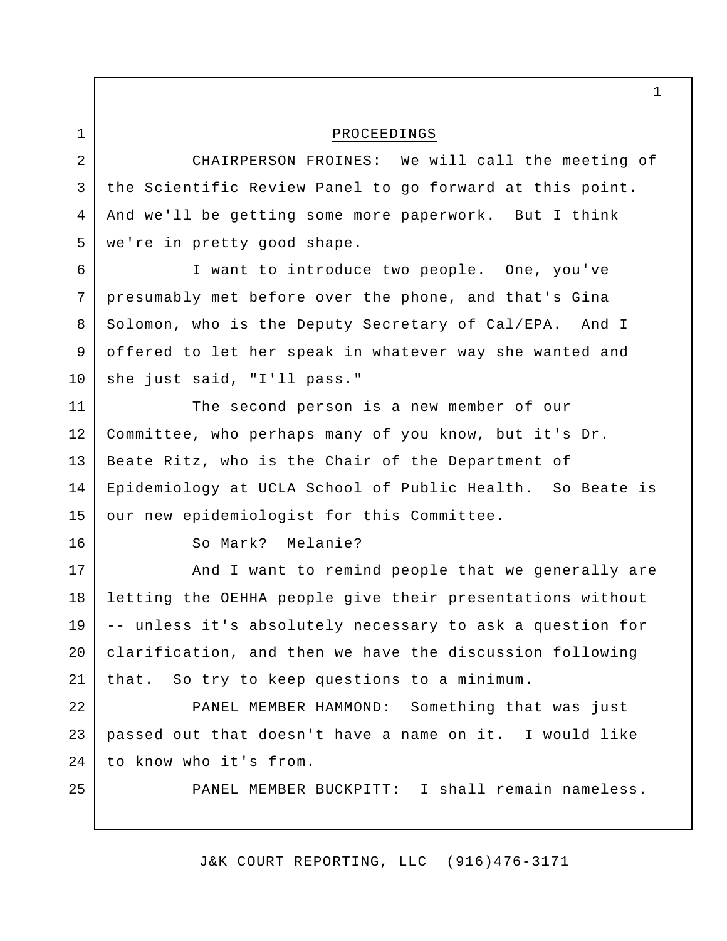PROCEEDINGS CHAIRPERSON FROINES: We will call the meeting of the Scientific Review Panel to go forward at this point. And we'll be getting some more paperwork. But I think we're in pretty good shape. I want to introduce two people. One, you've presumably met before over the phone, and that's Gina Solomon, who is the Deputy Secretary of Cal/EPA. And I offered to let her speak in whatever way she wanted and she just said, "I'll pass." The second person is a new member of our Committee, who perhaps many of you know, but it's Dr. Beate Ritz, who is the Chair of the Department of Epidemiology at UCLA School of Public Health. So Beate is our new epidemiologist for this Committee. So Mark? Melanie? And I want to remind people that we generally are letting the OEHHA people give their presentations without -- unless it's absolutely necessary to ask a question for clarification, and then we have the discussion following that. So try to keep questions to a minimum. PANEL MEMBER HAMMOND: Something that was just passed out that doesn't have a name on it. I would like to know who it's from. PANEL MEMBER BUCKPITT: I shall remain nameless. 1 2 3 4 5 6 7 8 9 10 11 12 13 14 15 16 17 18 19 20 21 22 23 24 25

J&K COURT REPORTING, LLC (916)476-3171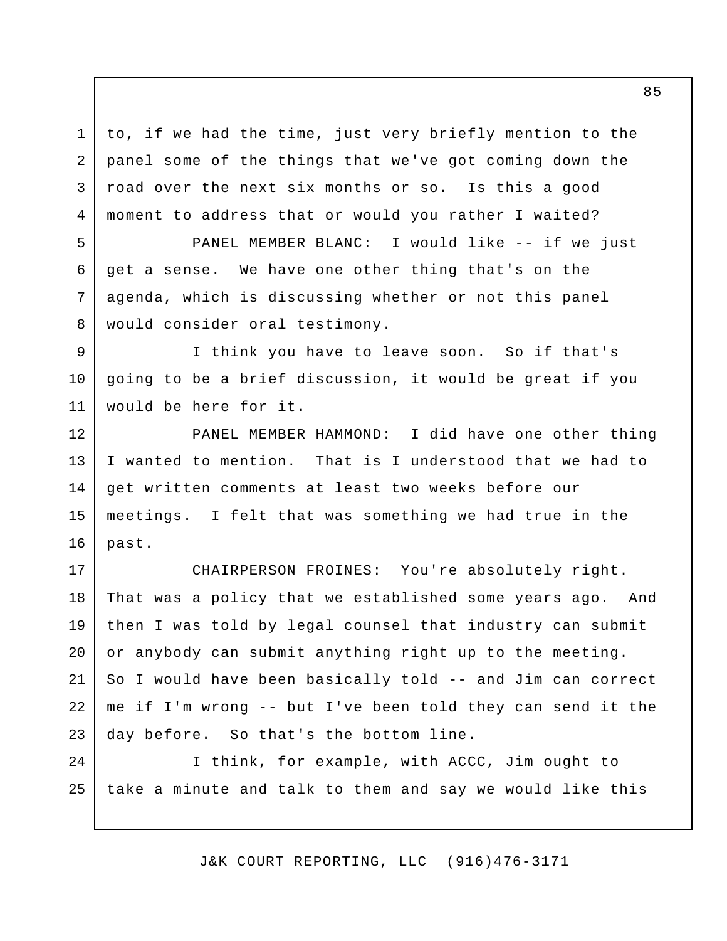to, if we had the time, just very briefly mention to the panel some of the things that we've got coming down the road over the next six months or so. Is this a good moment to address that or would you rather I waited? 1 2 3 4

PANEL MEMBER BLANC: I would like -- if we just get a sense. We have one other thing that's on the agenda, which is discussing whether or not this panel would consider oral testimony. 5 6 7 8

I think you have to leave soon. So if that's going to be a brief discussion, it would be great if you would be here for it. 9 10 11

PANEL MEMBER HAMMOND: I did have one other thing I wanted to mention. That is I understood that we had to get written comments at least two weeks before our meetings. I felt that was something we had true in the past. 12 13 14 15 16

CHAIRPERSON FROINES: You're absolutely right. That was a policy that we established some years ago. And then I was told by legal counsel that industry can submit or anybody can submit anything right up to the meeting. So I would have been basically told -- and Jim can correct me if I'm wrong -- but I've been told they can send it the day before. So that's the bottom line. 17 18 19 20 21 22 23

I think, for example, with ACCC, Jim ought to take a minute and talk to them and say we would like this 24 25

J&K COURT REPORTING, LLC (916)476-3171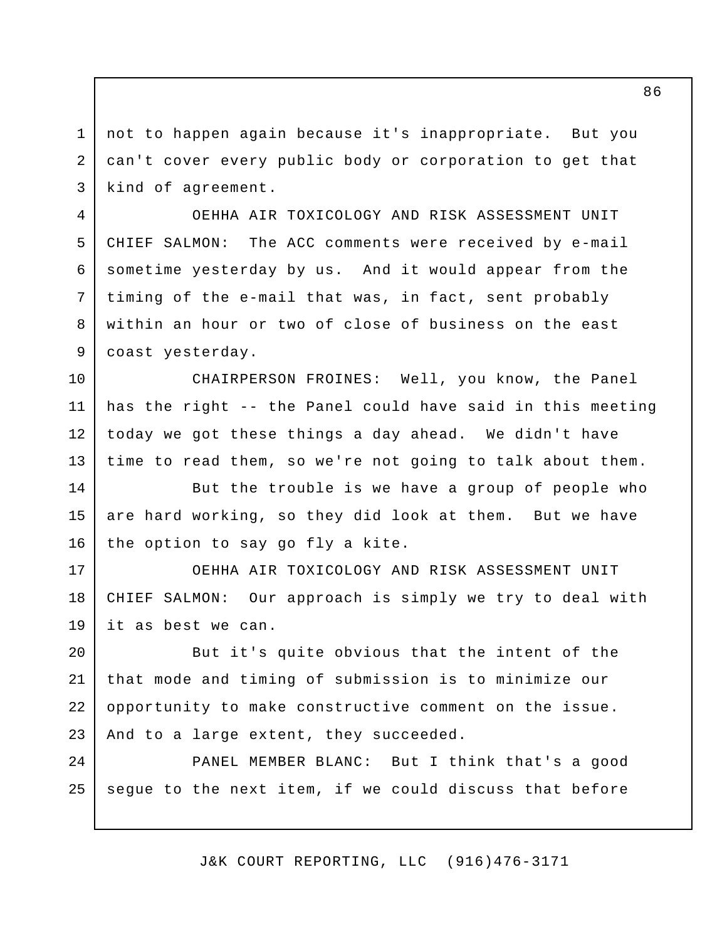not to happen again because it's inappropriate. But you can't cover every public body or corporation to get that kind of agreement. 1 2 3

OEHHA AIR TOXICOLOGY AND RISK ASSESSMENT UNIT CHIEF SALMON: The ACC comments were received by e-mail sometime yesterday by us. And it would appear from the timing of the e-mail that was, in fact, sent probably within an hour or two of close of business on the east coast yesterday. 4 5 6 7 8 9

CHAIRPERSON FROINES: Well, you know, the Panel has the right -- the Panel could have said in this meeting today we got these things a day ahead. We didn't have time to read them, so we're not going to talk about them. 10 11 12 13

But the trouble is we have a group of people who are hard working, so they did look at them. But we have the option to say go fly a kite. 14 15 16

OEHHA AIR TOXICOLOGY AND RISK ASSESSMENT UNIT CHIEF SALMON: Our approach is simply we try to deal with it as best we can. 17 18 19

But it's quite obvious that the intent of the that mode and timing of submission is to minimize our opportunity to make constructive comment on the issue. And to a large extent, they succeeded. 20 21 22 23

PANEL MEMBER BLANC: But I think that's a good segue to the next item, if we could discuss that before 24 25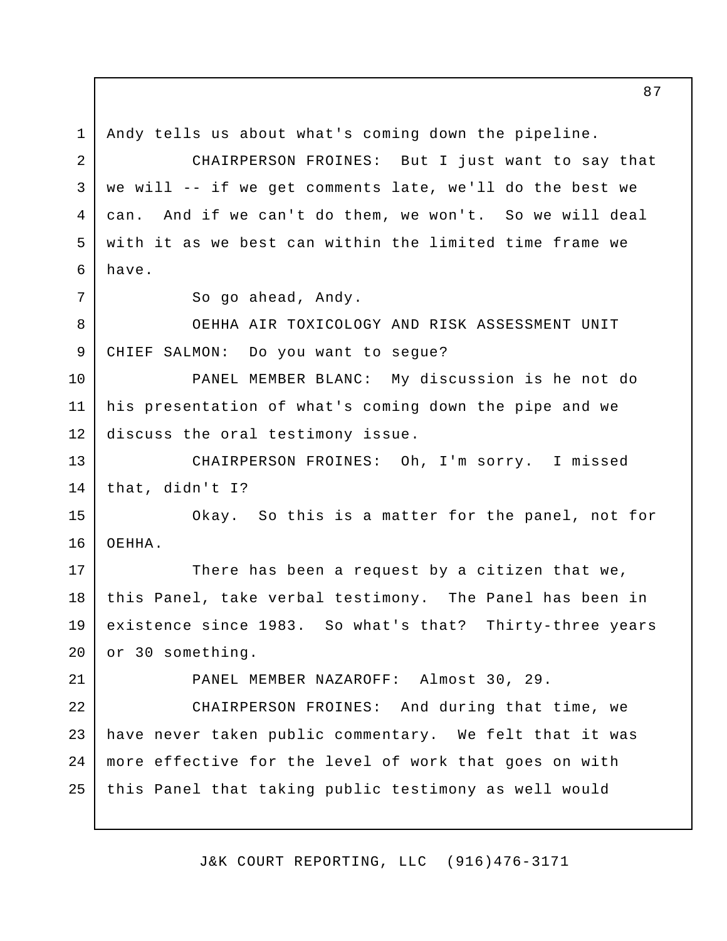Andy tells us about what's coming down the pipeline. CHAIRPERSON FROINES: But I just want to say that we will -- if we get comments late, we'll do the best we can. And if we can't do them, we won't. So we will deal with it as we best can within the limited time frame we have. So go ahead, Andy. OEHHA AIR TOXICOLOGY AND RISK ASSESSMENT UNIT CHIEF SALMON: Do you want to segue? PANEL MEMBER BLANC: My discussion is he not do his presentation of what's coming down the pipe and we discuss the oral testimony issue. CHAIRPERSON FROINES: Oh, I'm sorry. I missed that, didn't I? Okay. So this is a matter for the panel, not for OEHHA. There has been a request by a citizen that we, this Panel, take verbal testimony. The Panel has been in existence since 1983. So what's that? Thirty-three years or 30 something. PANEL MEMBER NAZAROFF: Almost 30, 29. CHAIRPERSON FROINES: And during that time, we have never taken public commentary. We felt that it was more effective for the level of work that goes on with this Panel that taking public testimony as well would 1 2 3 4 5 6 7 8 9 10 11 12 13 14 15 16 17 18 19 20 21 22 23 24 25

J&K COURT REPORTING, LLC (916)476-3171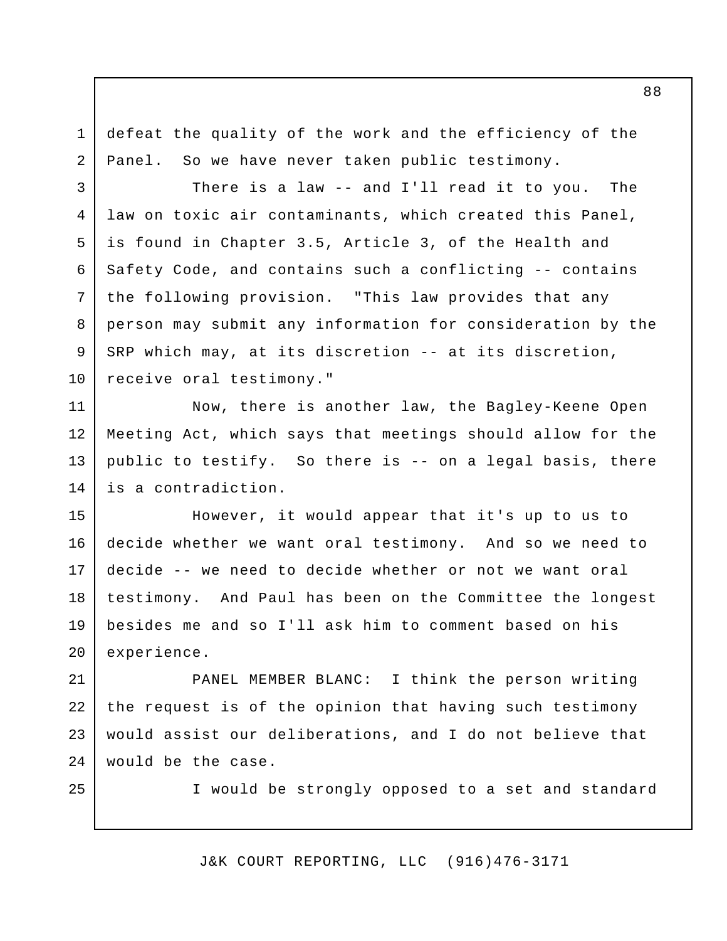defeat the quality of the work and the efficiency of the Panel. So we have never taken public testimony.

There is a law -- and I'll read it to you. The law on toxic air contaminants, which created this Panel, is found in Chapter 3.5, Article 3, of the Health and Safety Code, and contains such a conflicting -- contains the following provision. "This law provides that any person may submit any information for consideration by the SRP which may, at its discretion -- at its discretion, receive oral testimony." 4

Now, there is another law, the Bagley-Keene Open Meeting Act, which says that meetings should allow for the public to testify. So there is -- on a legal basis, there is a contradiction. 11 12 13 14

However, it would appear that it's up to us to decide whether we want oral testimony. And so we need to decide -- we need to decide whether or not we want oral testimony. And Paul has been on the Committee the longest besides me and so I'll ask him to comment based on his experience. 15 16 17 18 19 20

PANEL MEMBER BLANC: I think the person writing the request is of the opinion that having such testimony would assist our deliberations, and I do not believe that would be the case. 21 22 23 24

25

1

2

3

5

6

7

8

9

10

I would be strongly opposed to a set and standard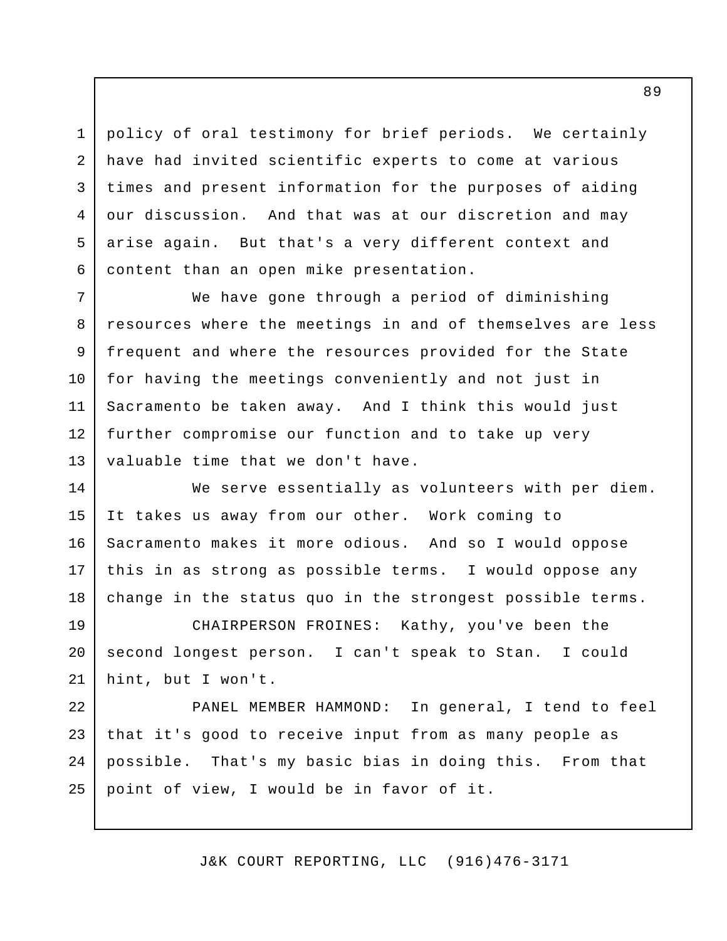policy of oral testimony for brief periods. We certainly have had invited scientific experts to come at various times and present information for the purposes of aiding our discussion. And that was at our discretion and may arise again. But that's a very different context and content than an open mike presentation. 3 4 5 6

1

2

We have gone through a period of diminishing resources where the meetings in and of themselves are less frequent and where the resources provided for the State for having the meetings conveniently and not just in Sacramento be taken away. And I think this would just further compromise our function and to take up very valuable time that we don't have. 7 8 9 10 11 12 13

We serve essentially as volunteers with per diem. It takes us away from our other. Work coming to Sacramento makes it more odious. And so I would oppose this in as strong as possible terms. I would oppose any change in the status quo in the strongest possible terms. 14 15 16 17 18

CHAIRPERSON FROINES: Kathy, you've been the second longest person. I can't speak to Stan. I could hint, but I won't. 19 20 21

PANEL MEMBER HAMMOND: In general, I tend to feel that it's good to receive input from as many people as possible. That's my basic bias in doing this. From that point of view, I would be in favor of it. 22 23 24 25

J&K COURT REPORTING, LLC (916)476-3171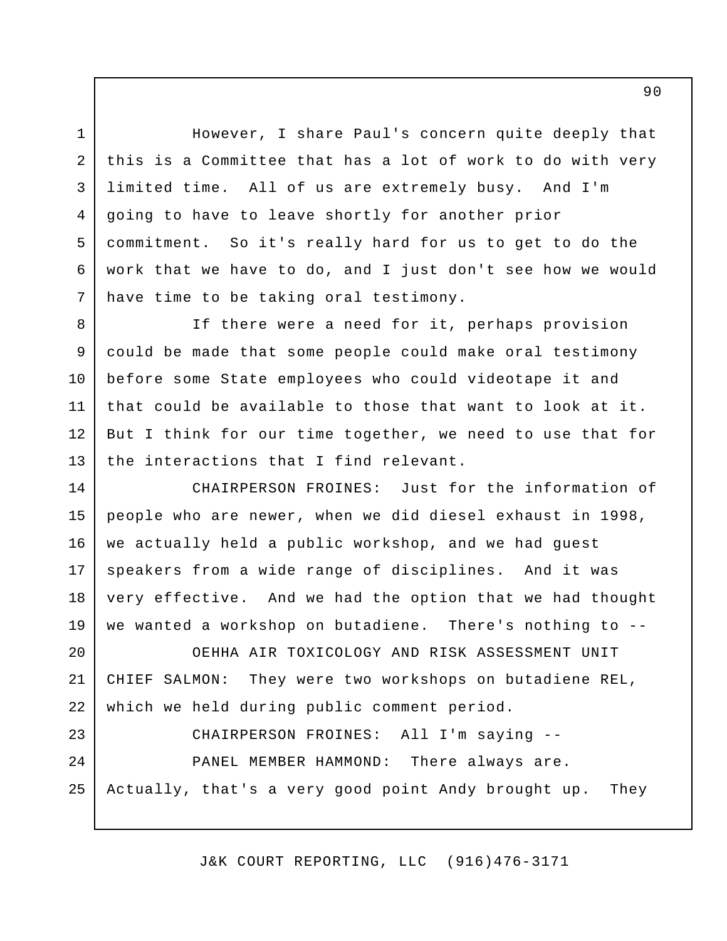However, I share Paul's concern quite deeply that this is a Committee that has a lot of work to do with very limited time. All of us are extremely busy. And I'm going to have to leave shortly for another prior commitment. So it's really hard for us to get to do the work that we have to do, and I just don't see how we would have time to be taking oral testimony. 3 4 5 6 7

1

2

If there were a need for it, perhaps provision could be made that some people could make oral testimony before some State employees who could videotape it and that could be available to those that want to look at it. But I think for our time together, we need to use that for the interactions that I find relevant. 8 9 10 11 12 13

CHAIRPERSON FROINES: Just for the information of people who are newer, when we did diesel exhaust in 1998, we actually held a public workshop, and we had guest speakers from a wide range of disciplines. And it was very effective. And we had the option that we had thought we wanted a workshop on butadiene. There's nothing to -- 14 15 16 17 18 19

OEHHA AIR TOXICOLOGY AND RISK ASSESSMENT UNIT CHIEF SALMON: They were two workshops on butadiene REL, which we held during public comment period. 20 21 22

CHAIRPERSON FROINES: All I'm saying -- PANEL MEMBER HAMMOND: There always are. Actually, that's a very good point Andy brought up. They 23 24 25

J&K COURT REPORTING, LLC (916)476-3171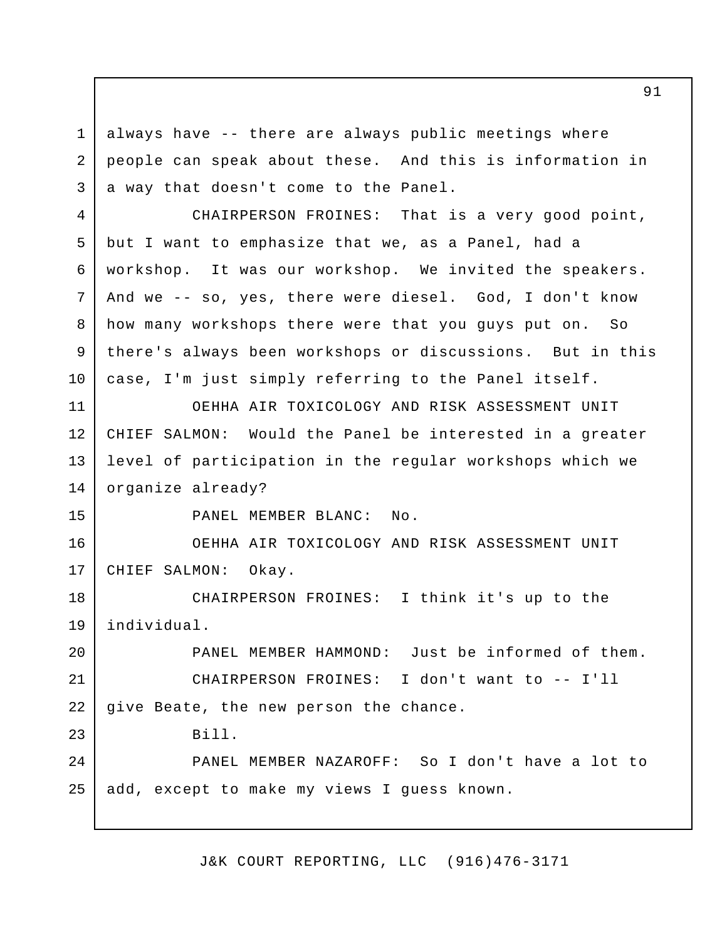always have -- there are always public meetings where people can speak about these. And this is information in a way that doesn't come to the Panel. 1 2 3

CHAIRPERSON FROINES: That is a very good point, but I want to emphasize that we, as a Panel, had a workshop. It was our workshop. We invited the speakers. And we -- so, yes, there were diesel. God, I don't know how many workshops there were that you guys put on. So there's always been workshops or discussions. But in this case, I'm just simply referring to the Panel itself. 4 5 6 7 8 9 10

OEHHA AIR TOXICOLOGY AND RISK ASSESSMENT UNIT CHIEF SALMON: Would the Panel be interested in a greater level of participation in the regular workshops which we organize already? 11 12 13 14

15

23

PANEL MEMBER BLANC: No.

OEHHA AIR TOXICOLOGY AND RISK ASSESSMENT UNIT CHIEF SALMON: Okay. 16 17

CHAIRPERSON FROINES: I think it's up to the individual. 18 19

PANEL MEMBER HAMMOND: Just be informed of them. CHAIRPERSON FROINES: I don't want to -- I'll give Beate, the new person the chance. 20 21 22

Bill.

PANEL MEMBER NAZAROFF: So I don't have a lot to add, except to make my views I guess known. 24 25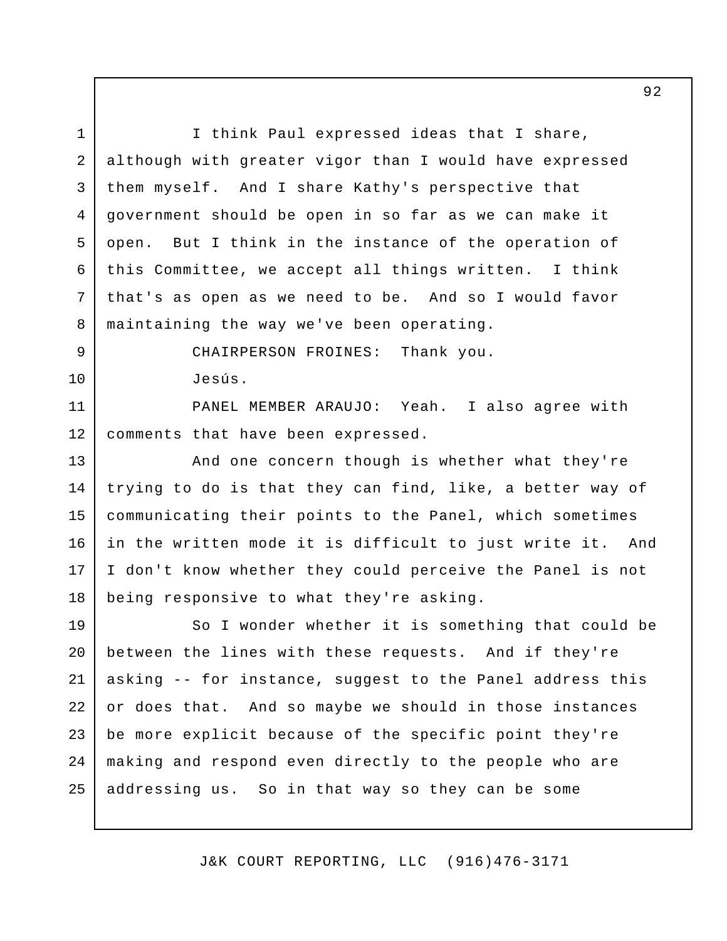I think Paul expressed ideas that I share, although with greater vigor than I would have expressed them myself. And I share Kathy's perspective that government should be open in so far as we can make it open. But I think in the instance of the operation of this Committee, we accept all things written. I think that's as open as we need to be. And so I would favor maintaining the way we've been operating. CHAIRPERSON FROINES: Thank you. Jesús. PANEL MEMBER ARAUJO: Yeah. I also agree with comments that have been expressed. And one concern though is whether what they're trying to do is that they can find, like, a better way of communicating their points to the Panel, which sometimes in the written mode it is difficult to just write it. And I don't know whether they could perceive the Panel is not being responsive to what they're asking. So I wonder whether it is something that could be between the lines with these requests. And if they're asking -- for instance, suggest to the Panel address this or does that. And so maybe we should in those instances be more explicit because of the specific point they're making and respond even directly to the people who are addressing us. So in that way so they can be some 1 2 3 4 5 6 7 8 9 10 11 12 13 14 15 16 17 18 19 20 21 22 23 24 25

J&K COURT REPORTING, LLC (916)476-3171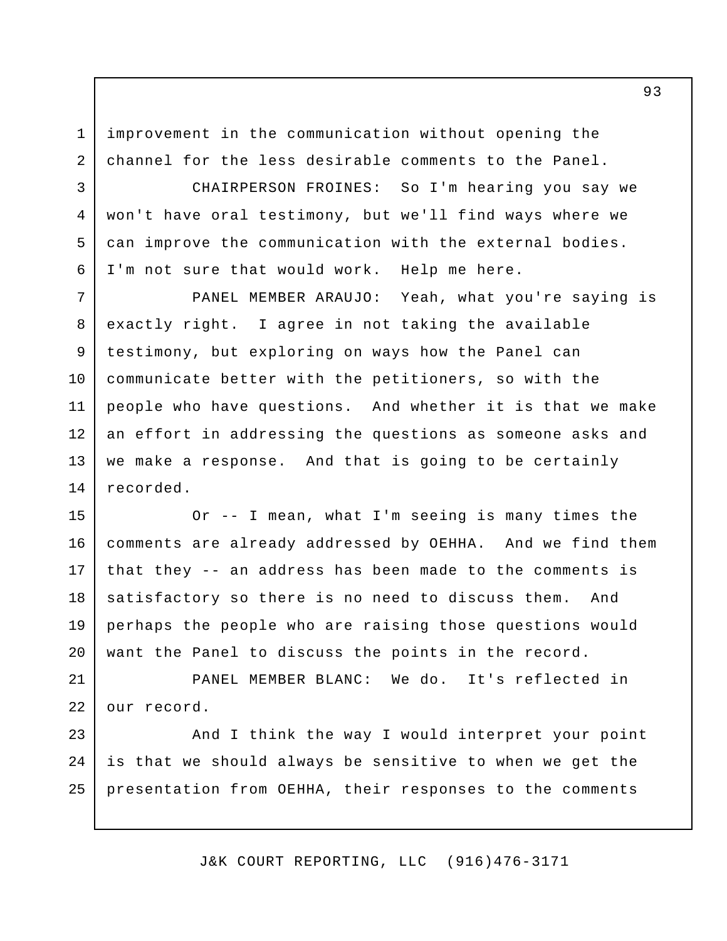improvement in the communication without opening the channel for the less desirable comments to the Panel. 1 2

3

4

5

6

CHAIRPERSON FROINES: So I'm hearing you say we won't have oral testimony, but we'll find ways where we can improve the communication with the external bodies. I'm not sure that would work. Help me here.

PANEL MEMBER ARAUJO: Yeah, what you're saying is exactly right. I agree in not taking the available testimony, but exploring on ways how the Panel can communicate better with the petitioners, so with the people who have questions. And whether it is that we make an effort in addressing the questions as someone asks and we make a response. And that is going to be certainly recorded. 7 8 9 10 11 12 13 14

Or -- I mean, what I'm seeing is many times the comments are already addressed by OEHHA. And we find them that they -- an address has been made to the comments is satisfactory so there is no need to discuss them. And perhaps the people who are raising those questions would want the Panel to discuss the points in the record. 15 16 17 18 19 20

PANEL MEMBER BLANC: We do. It's reflected in our record. 21 22

And I think the way I would interpret your point is that we should always be sensitive to when we get the presentation from OEHHA, their responses to the comments 23 24 25

J&K COURT REPORTING, LLC (916)476-3171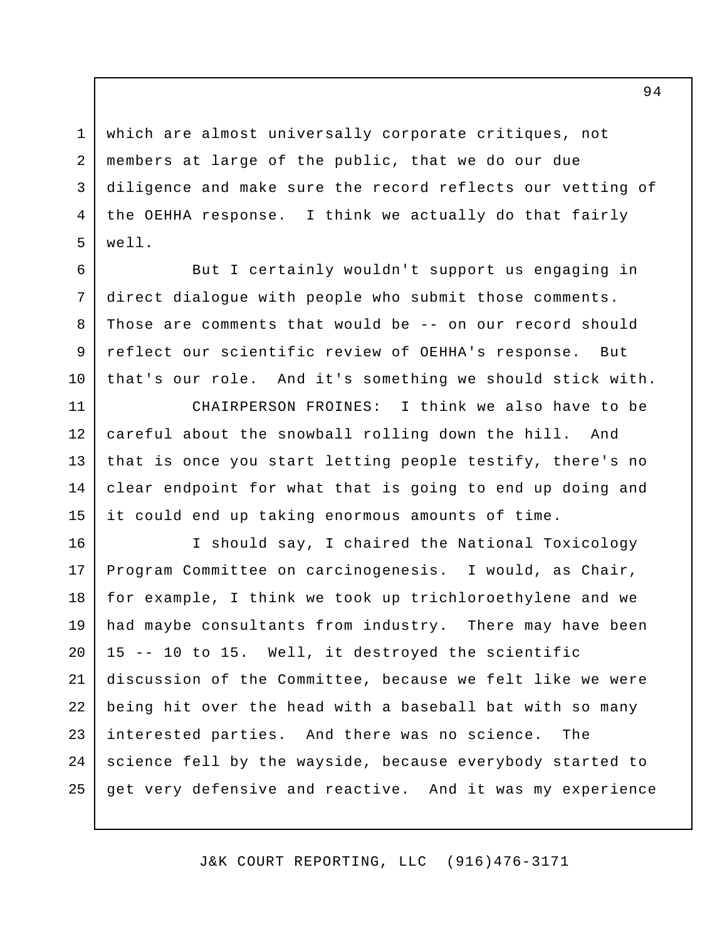which are almost universally corporate critiques, not members at large of the public, that we do our due diligence and make sure the record reflects our vetting of the OEHHA response. I think we actually do that fairly well. 1 2 3 4 5

But I certainly wouldn't support us engaging in direct dialogue with people who submit those comments. Those are comments that would be -- on our record should reflect our scientific review of OEHHA's response. But that's our role. And it's something we should stick with. 6 7 8 9 10

CHAIRPERSON FROINES: I think we also have to be careful about the snowball rolling down the hill. And that is once you start letting people testify, there's no clear endpoint for what that is going to end up doing and it could end up taking enormous amounts of time. 11 12 13 14 15

I should say, I chaired the National Toxicology Program Committee on carcinogenesis. I would, as Chair, for example, I think we took up trichloroethylene and we had maybe consultants from industry. There may have been 15 -- 10 to 15. Well, it destroyed the scientific discussion of the Committee, because we felt like we were being hit over the head with a baseball bat with so many interested parties. And there was no science. The science fell by the wayside, because everybody started to get very defensive and reactive. And it was my experience 16 17 18 19 20 21 22 23 24 25

J&K COURT REPORTING, LLC (916)476-3171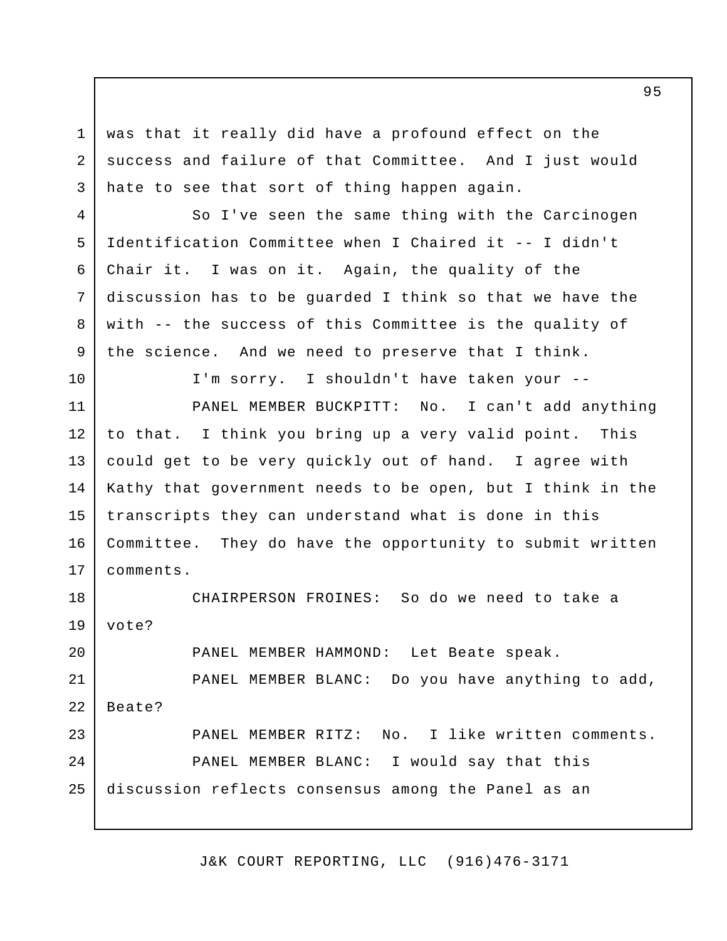was that it really did have a profound effect on the success and failure of that Committee. And I just would hate to see that sort of thing happen again. 1 2 3

So I've seen the same thing with the Carcinogen Identification Committee when I Chaired it -- I didn't Chair it. I was on it. Again, the quality of the discussion has to be guarded I think so that we have the with -- the success of this Committee is the quality of the science. And we need to preserve that I think. 4 5 6 7 8 9

I'm sorry. I shouldn't have taken your -- PANEL MEMBER BUCKPITT: No. I can't add anything to that. I think you bring up a very valid point. This could get to be very quickly out of hand. I agree with Kathy that government needs to be open, but I think in the transcripts they can understand what is done in this Committee. They do have the opportunity to submit written comments. 10 11 12 13 14 15 16 17

CHAIRPERSON FROINES: So do we need to take a vote? PANEL MEMBER HAMMOND: Let Beate speak. PANEL MEMBER BLANC: Do you have anything to add, Beate? PANEL MEMBER RITZ: No. I like written comments. PANEL MEMBER BLANC: I would say that this discussion reflects consensus among the Panel as an 18 19 20 21 22 23 24 25

J&K COURT REPORTING, LLC (916)476-3171